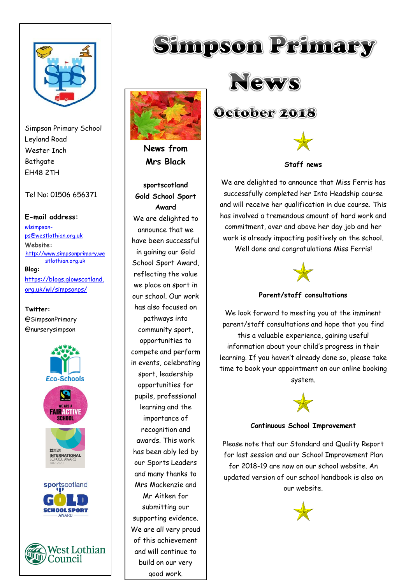

Simpson Primary School Leyland Road Wester Inch **Bathgate** EH48 2TH

**News from Mrs Black**

**sportscotland Gold School Sport Award** We are delighted to announce that we have been successful in gaining our Gold School Sport Award, reflecting the value we place on sport in our school. Our work has also focused on pathways into community sport, opportunities to compete and perform in events, celebrating sport, leadership opportunities for pupils, professional learning and the importance of recognition and awards. This work has been ably led by our Sports Leaders and many thanks to Mrs Mackenzie and Mr Aitken for submitting our supporting evidence. We are all very proud of this achievement and will continue to build on our very good work.

# Tel No: 01506 656371

# **E-mail address:** [wlsimpson](mailto:wlsimpson-ps@westlothian.org.uk)[ps@westlothian.org.uk](mailto:wlsimpson-ps@westlothian.org.uk) **Website:** [http://www.simpsonprimary.we](http://www.simpsonprimary.westlothian.org.uk/) [stlothian.org.uk](http://www.simpsonprimary.westlothian.org.uk/) **Blog:** [https://blogs.glowscotland.](https://blogs.glowscotland.org.uk/wl/simpsonps/) [org.uk/wl/simpsonps/](https://blogs.glowscotland.org.uk/wl/simpsonps/)

#### **Twitter:**

@SimpsonPrimary @nurserysimpson







# October 2018



**Staff news**

We are delighted to announce that Miss Ferris has successfully completed her Into Headship course and will receive her qualification in due course. This has involved a tremendous amount of hard work and commitment, over and above her day job and her work is already impacting positively on the school. Well done and congratulations Miss Ferris!



**Parent/staff consultations**

We look forward to meeting you at the imminent parent/staff consultations and hope that you find this a valuable experience, gaining useful information about your child's progress in their learning. If you haven't already done so, please take time to book your appointment on our online booking system.



# **Continuous School Improvement**

Please note that our Standard and Quality Report for last session and our School Improvement Plan for 2018-19 are now on our school website. An updated version of our school handbook is also on our website.

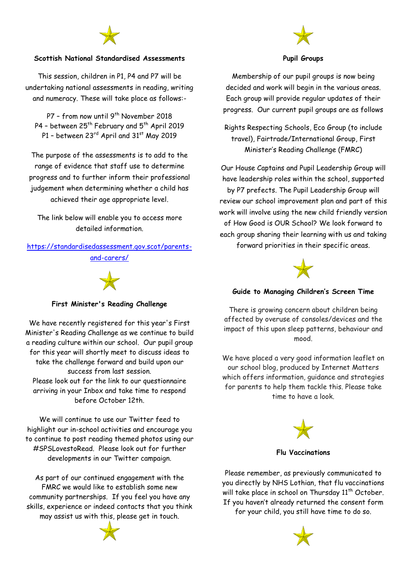

# **Scottish National Standardised Assessments**

This session, children in P1, P4 and P7 will be undertaking national assessments in reading, writing and numeracy. These will take place as follows:-

P7 - from now until 9<sup>th</sup> November 2018 P4 - between 25<sup>th</sup> February and 5<sup>th</sup> April 2019 P1 - between 23<sup>rd</sup> April and 31<sup>st</sup> May 2019

The purpose of the assessments is to add to the range of evidence that staff use to determine progress and to further inform their professional judgement when determining whether a child has achieved their age appropriate level.

The link below will enable you to access more detailed information.

# [https://standardisedassessment.gov.scot/parents](https://standardisedassessment.gov.scot/parents-and-carers/)[and-carers/](https://standardisedassessment.gov.scot/parents-and-carers/)



#### **First Minister's Reading Challenge**

We have recently registered for this year's First Minister's Reading Challenge as we continue to build a reading culture within our school. Our pupil group for this year will shortly meet to discuss ideas to take the challenge forward and build upon our success from last session. Please look out for the link to our questionnaire

arriving in your Inbox and take time to respond before October 12th.

We will continue to use our Twitter feed to highlight our in-school activities and encourage you to continue to post reading themed photos using our #SPSLovestoRead. Please look out for further developments in our Twitter campaign.

As part of our continued engagement with the FMRC we would like to establish some new community partnerships. If you feel you have any skills, experience or indeed contacts that you think may assist us with this, please get in touch.





#### **Pupil Groups**

Membership of our pupil groups is now being decided and work will begin in the various areas. Each group will provide regular updates of their progress. Our current pupil groups are as follows

Rights Respecting Schools, Eco Group (to include travel), Fairtrade/International Group, First Minister's Reading Challenge (FMRC)

Our House Captains and Pupil Leadership Group will have leadership roles within the school, supported by P7 prefects. The Pupil Leadership Group will review our school improvement plan and part of this work will involve using the new child friendly version of How Good is OUR School? We look forward to each group sharing their learning with us and taking

forward priorities in their specific areas.



#### **Guide to Managing Children's Screen Time**

There is growing concern about children being affected by overuse of consoles/devices and the impact of this upon sleep patterns, behaviour and mood.

We have placed a very good information leaflet on our school blog, produced by Internet Matters which offers information, guidance and strategies for parents to help them tackle this. Please take time to have a look.



**Flu Vaccinations**

Please remember, as previously communicated to you directly by NHS Lothian, that flu vaccinations will take place in school on Thursday  $11^{th}$  October. If you haven't already returned the consent form for your child, you still have time to do so.

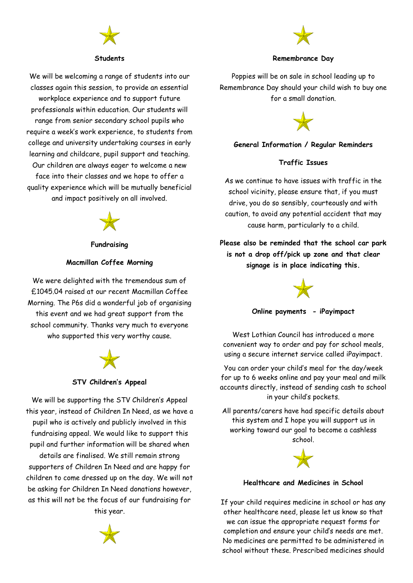#### **Students**

We will be welcoming a range of students into our classes again this session, to provide an essential workplace experience and to support future professionals within education. Our students will range from senior secondary school pupils who require a week's work experience, to students from college and university undertaking courses in early learning and childcare, pupil support and teaching. Our children are always eager to welcome a new face into their classes and we hope to offer a quality experience which will be mutually beneficial and impact positively on all involved.



**Fundraising**

# **Macmillan Coffee Morning**

We were delighted with the tremendous sum of £1045.04 raised at our recent Macmillan Coffee Morning. The P6s did a wonderful job of organising this event and we had great support from the school community. Thanks very much to everyone who supported this very worthy cause.



# **STV Children's Appeal**

We will be supporting the STV Children's Appeal this year, instead of Children In Need, as we have a pupil who is actively and publicly involved in this fundraising appeal. We would like to support this pupil and further information will be shared when details are finalised. We still remain strong supporters of Children In Need and are happy for children to come dressed up on the day. We will not be asking for Children In Need donations however, as this will not be the focus of our fundraising for this year.





#### **Remembrance Day**

Poppies will be on sale in school leading up to Remembrance Day should your child wish to buy one for a small donation.



**General Information / Regular Reminders**

# **Traffic Issues**

As we continue to have issues with traffic in the school vicinity, please ensure that, if you must drive, you do so sensibly, courteously and with caution, to avoid any potential accident that may cause harm, particularly to a child.

**Please also be reminded that the school car park is not a drop off/pick up zone and that clear signage is in place indicating this.**



**Online payments - iPayimpact**

West Lothian Council has introduced a more convenient way to order and pay for school meals, using a secure internet service called iPayimpact.

You can order your child's meal for the day/week for up to 6 weeks online and pay your meal and milk accounts directly, instead of sending cash to school in your child's pockets.

All parents/carers have had specific details about this system and I hope you will support us in working toward our goal to become a cashless school.



#### **Healthcare and Medicines in School**

If your child requires medicine in school or has any other healthcare need, please let us know so that we can issue the appropriate request forms for completion and ensure your child's needs are met. No medicines are permitted to be administered in school without these. Prescribed medicines should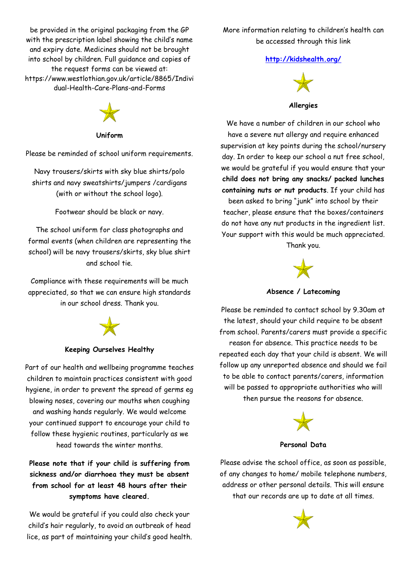be provided in the original packaging from the GP with the prescription label showing the child's name and expiry date. Medicines should not be brought into school by children. Full guidance and copies of the request forms can be viewed at: https://www.westlothian.gov.uk/article/8865/Indivi dual-Health-Care-Plans-and-Forms



#### **Uniform**

Please be reminded of school uniform requirements.

Navy trousers/skirts with sky blue shirts/polo shirts and navy sweatshirts/jumpers /cardigans (with or without the school logo).

Footwear should be black or navy.

The school uniform for class photographs and formal events (when children are representing the school) will be navy trousers/skirts, sky blue shirt and school tie.

Compliance with these requirements will be much appreciated, so that we can ensure high standards in our school dress. Thank you.



# **Keeping Ourselves Healthy**

Part of our health and wellbeing programme teaches children to maintain practices consistent with good hygiene, in order to prevent the spread of germs eg blowing noses, covering our mouths when coughing and washing hands regularly. We would welcome your continued support to encourage your child to follow these hygienic routines, particularly as we head towards the winter months.

**Please note that if your child is suffering from sickness and/or diarrhoea they must be absent from school for at least 48 hours after their symptoms have cleared.**

We would be grateful if you could also check your child's hair regularly, to avoid an outbreak of head lice, as part of maintaining your child's good health. More information relating to children's health can be accessed through this link

# **<http://kidshealth.org/>**



# **Allergies**

We have a number of children in our school who have a severe nut allergy and require enhanced supervision at key points during the school/nursery day. In order to keep our school a nut free school, we would be grateful if you would ensure that your **child does not bring any snacks/ packed lunches containing nuts or nut products**. If your child has

been asked to bring "junk" into school by their teacher, please ensure that the boxes/containers do not have any nut products in the ingredient list. Your support with this would be much appreciated.

Thank you.



**Absence / Latecoming**

Please be reminded to contact school by 9.30am at the latest, should your child require to be absent from school. Parents/carers must provide a specific reason for absence. This practice needs to be repeated each day that your child is absent. We will follow up any unreported absence and should we fail to be able to contact parents/carers, information will be passed to appropriate authorities who will then pursue the reasons for absence.



**Personal Data**

Please advise the school office, as soon as possible, of any changes to home/ mobile telephone numbers, address or other personal details. This will ensure that our records are up to date at all times.